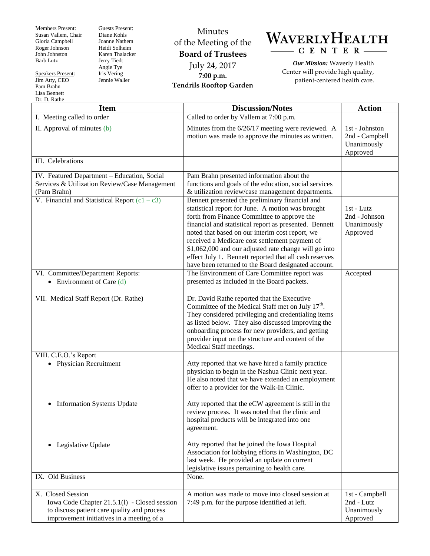Members Present: Susan Vallem, Chair Gloria Campbell Roger Johnson John Johnston Barb Lutz

Speakers Present: Jim Atty, CEO Pam Brahn Lisa Bennett

Guests Present: Diane Kohls Joanne Nathem Heidi Solheim Karen Thalacker Jerry Tiedt Angie Tye Iris Vering Jennie Waller

## Minutes of the Meeting of the **Board of Trustees** July 24, 2017 **7:00 p.m. Tendrils Rooftop Garden**



*Our Mission:* Waverly Health Center will provide high quality, patient-centered health care.

| Dr. D. Rathe                                                                                                                                                  |                                                                                                                                                                                                                                                                                                                                                                                                                                                                                              |                                                             |
|---------------------------------------------------------------------------------------------------------------------------------------------------------------|----------------------------------------------------------------------------------------------------------------------------------------------------------------------------------------------------------------------------------------------------------------------------------------------------------------------------------------------------------------------------------------------------------------------------------------------------------------------------------------------|-------------------------------------------------------------|
| <b>Item</b>                                                                                                                                                   | <b>Discussion/Notes</b>                                                                                                                                                                                                                                                                                                                                                                                                                                                                      | <b>Action</b>                                               |
| I. Meeting called to order                                                                                                                                    | Called to order by Vallem at 7:00 p.m.                                                                                                                                                                                                                                                                                                                                                                                                                                                       |                                                             |
| II. Approval of minutes (b)                                                                                                                                   | Minutes from the 6/26/17 meeting were reviewed. A<br>motion was made to approve the minutes as written.                                                                                                                                                                                                                                                                                                                                                                                      | 1st - Johnston<br>2nd - Campbell<br>Unanimously<br>Approved |
| III. Celebrations                                                                                                                                             |                                                                                                                                                                                                                                                                                                                                                                                                                                                                                              |                                                             |
| IV. Featured Department - Education, Social<br>Services & Utilization Review/Case Management<br>(Pam Brahn)                                                   | Pam Brahn presented information about the<br>functions and goals of the education, social services<br>& utilization review/case management departments.                                                                                                                                                                                                                                                                                                                                      |                                                             |
| V. Financial and Statistical Report $(c1 - c3)$                                                                                                               | Bennett presented the preliminary financial and<br>statistical report for June. A motion was brought<br>forth from Finance Committee to approve the<br>financial and statistical report as presented. Bennett<br>noted that based on our interim cost report, we<br>received a Medicare cost settlement payment of<br>\$1,062,000 and our adjusted rate change will go into<br>effect July 1. Bennett reported that all cash reserves<br>have been returned to the Board designated account. | 1st - Lutz<br>2nd - Johnson<br>Unanimously<br>Approved      |
| VI. Committee/Department Reports:<br>Environment of Care (d)                                                                                                  | The Environment of Care Committee report was<br>presented as included in the Board packets.                                                                                                                                                                                                                                                                                                                                                                                                  | Accepted                                                    |
| VII. Medical Staff Report (Dr. Rathe)                                                                                                                         | Dr. David Rathe reported that the Executive<br>Committee of the Medical Staff met on July 17 <sup>th</sup> .<br>They considered privileging and credentialing items<br>as listed below. They also discussed improving the<br>onboarding process for new providers, and getting<br>provider input on the structure and content of the<br>Medical Staff meetings.                                                                                                                              |                                                             |
| VIII. C.E.O.'s Report<br>• Physician Recruitment                                                                                                              | Atty reported that we have hired a family practice<br>physician to begin in the Nashua Clinic next year.<br>He also noted that we have extended an employment<br>offer to a provider for the Walk-In Clinic.                                                                                                                                                                                                                                                                                 |                                                             |
| • Information Systems Update                                                                                                                                  | Atty reported that the eCW agreement is still in the<br>review process. It was noted that the clinic and<br>hospital products will be integrated into one<br>agreement.                                                                                                                                                                                                                                                                                                                      |                                                             |
| Legislative Update<br>$\bullet$                                                                                                                               | Atty reported that he joined the Iowa Hospital<br>Association for lobbying efforts in Washington, DC<br>last week. He provided an update on current<br>legislative issues pertaining to health care.                                                                                                                                                                                                                                                                                         |                                                             |
| IX. Old Business                                                                                                                                              | None.                                                                                                                                                                                                                                                                                                                                                                                                                                                                                        |                                                             |
| X. Closed Session<br>Iowa Code Chapter 21.5.1(1) - Closed session<br>to discuss patient care quality and process<br>improvement initiatives in a meeting of a | A motion was made to move into closed session at<br>7:49 p.m. for the purpose identified at left.                                                                                                                                                                                                                                                                                                                                                                                            | 1st - Campbell<br>2nd - Lutz<br>Unanimously<br>Approved     |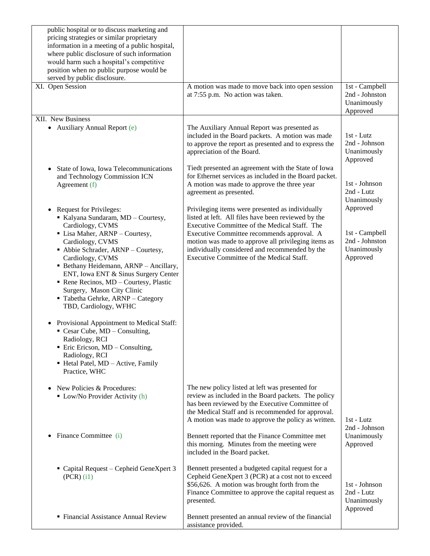| public hospital or to discuss marketing and<br>pricing strategies or similar proprietary<br>information in a meeting of a public hospital,<br>where public disclosure of such information<br>would harm such a hospital's competitive<br>position when no public purpose would be<br>served by public disclosure.                                                                                                                                                                                                                                                                                                                               |                                                                                                                                                                                                                                                                                                                                                              |                                                                         |
|-------------------------------------------------------------------------------------------------------------------------------------------------------------------------------------------------------------------------------------------------------------------------------------------------------------------------------------------------------------------------------------------------------------------------------------------------------------------------------------------------------------------------------------------------------------------------------------------------------------------------------------------------|--------------------------------------------------------------------------------------------------------------------------------------------------------------------------------------------------------------------------------------------------------------------------------------------------------------------------------------------------------------|-------------------------------------------------------------------------|
| XI. Open Session                                                                                                                                                                                                                                                                                                                                                                                                                                                                                                                                                                                                                                | A motion was made to move back into open session<br>at 7:55 p.m. No action was taken.                                                                                                                                                                                                                                                                        | 1st - Campbell<br>2nd - Johnston<br>Unanimously<br>Approved             |
| XII. New Business<br>• Auxiliary Annual Report (e)                                                                                                                                                                                                                                                                                                                                                                                                                                                                                                                                                                                              | The Auxiliary Annual Report was presented as<br>included in the Board packets. A motion was made<br>to approve the report as presented and to express the<br>appreciation of the Board.                                                                                                                                                                      | 1st - Lutz<br>2nd - Johnson<br>Unanimously                              |
| State of Iowa, Iowa Telecommunications<br>and Technology Commission ICN<br>Agreement (f)                                                                                                                                                                                                                                                                                                                                                                                                                                                                                                                                                        | Tiedt presented an agreement with the State of Iowa<br>for Ethernet services as included in the Board packet.<br>A motion was made to approve the three year<br>agreement as presented.                                                                                                                                                                      | Approved<br>1st - Johnson<br>2nd - Lutz<br>Unanimously                  |
| <b>Request for Privileges:</b><br>Kalyana Sundaram, MD - Courtesy,<br>Cardiology, CVMS<br>• Lisa Maher, ARNP - Courtesy,<br>Cardiology, CVMS<br>• Abbie Schrader, ARNP - Courtesy,<br>Cardiology, CVMS<br>• Bethany Heidemann, ARNP - Ancillary,<br>ENT, Iowa ENT & Sinus Surgery Center<br>Rene Recinos, MD - Courtesy, Plastic<br>Surgery, Mason City Clinic<br>Tabetha Gehrke, ARNP - Category<br>TBD, Cardiology, WFHC<br>Provisional Appointment to Medical Staff:<br>$\blacksquare$ Cesar Cube, MD – Consulting,<br>Radiology, RCI<br>$\blacksquare$ Eric Ericson, MD – Consulting,<br>Radiology, RCI<br>Hetal Patel, MD - Active, Family | Privileging items were presented as individually<br>listed at left. All files have been reviewed by the<br>Executive Committee of the Medical Staff. The<br>Executive Committee recommends approval. A<br>motion was made to approve all privileging items as<br>individually considered and recommended by the<br>Executive Committee of the Medical Staff. | Approved<br>1st - Campbell<br>2nd - Johnston<br>Unanimously<br>Approved |
| Practice, WHC<br>New Policies & Procedures:<br>$\blacksquare$ Low/No Provider Activity (h)                                                                                                                                                                                                                                                                                                                                                                                                                                                                                                                                                      | The new policy listed at left was presented for<br>review as included in the Board packets. The policy<br>has been reviewed by the Executive Committee of<br>the Medical Staff and is recommended for approval.<br>A motion was made to approve the policy as written.                                                                                       | 1st - Lutz                                                              |
| Finance Committee (i)                                                                                                                                                                                                                                                                                                                                                                                                                                                                                                                                                                                                                           | Bennett reported that the Finance Committee met<br>this morning. Minutes from the meeting were<br>included in the Board packet.                                                                                                                                                                                                                              | 2nd - Johnson<br>Unanimously<br>Approved                                |
| Capital Request – Cepheid GeneXpert 3<br>$(PCR)$ (i1)                                                                                                                                                                                                                                                                                                                                                                                                                                                                                                                                                                                           | Bennett presented a budgeted capital request for a<br>Cepheid GeneXpert 3 (PCR) at a cost not to exceed<br>\$56,626. A motion was brought forth from the<br>Finance Committee to approve the capital request as<br>presented.                                                                                                                                | 1st - Johnson<br>2nd - Lutz<br>Unanimously<br>Approved                  |
| • Financial Assistance Annual Review                                                                                                                                                                                                                                                                                                                                                                                                                                                                                                                                                                                                            | Bennett presented an annual review of the financial<br>assistance provided.                                                                                                                                                                                                                                                                                  |                                                                         |